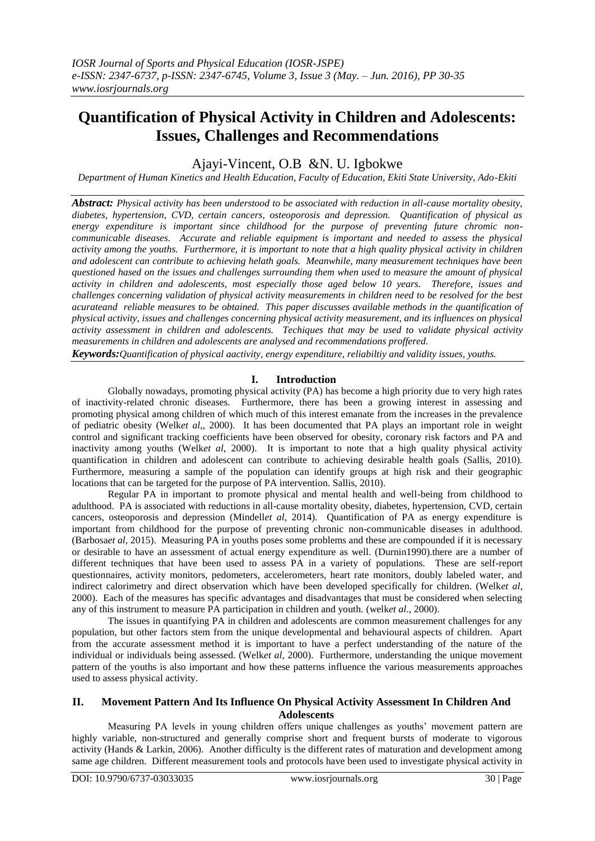# **Quantification of Physical Activity in Children and Adolescents: Issues, Challenges and Recommendations**

Ajayi-Vincent, O.B &N. U. Igbokwe

*Department of Human Kinetics and Health Education, Faculty of Education, Ekiti State University, Ado-Ekiti*

*Abstract: Physical activity has been understood to be associated with reduction in all-cause mortality obesity, diabetes, hypertension, CVD, certain cancers, osteoporosis and depression. Quantification of physical as energy expenditure is important since childhood for the purpose of preventing future chromic noncommunicable diseases. Accurate and reliable equipment is important and needed to assess the physical activity among the youths. Furthermore, it is important to note that a high quality physical activity in children and adolescent can contribute to achieving helath goals. Meanwhile, many measurement techniques have been questioned hased on the issues and challenges surrounding them when used to measure the amount of physical activity in children and adolescents, most especially those aged below 10 years. Therefore, issues and challenges concerning validation of physical activity measurements in children need to be resolved for the best acurateand reliable measures to be obtained. This paper discusses available methods in the quantification of physical activity, issues and challenges concerning physical activity measurement, and its influences on physical activity assessment in children and adolescents. Techiques that may be used to validate physical activity measurements in children and adolescents are analysed and recommendations proffered.*

*Keywords:Quantification of physical aactivity, energy expenditure, reliabiltiy and validity issues, youths.*

## **I. Introduction**

Globally nowadays, promoting physical activity (PA) has become a high priority due to very high rates of inactivity-related chronic diseases. Furthermore, there has been a growing interest in assessing and promoting physical among children of which much of this interest emanate from the increases in the prevalence of pediatric obesity (Welk*et al*,, 2000). It has been documented that PA plays an important role in weight control and significant tracking coefficients have been observed for obesity, coronary risk factors and PA and inactivity among youths (Welk*et al*, 2000). It is important to note that a high quality physical activity quantification in children and adolescent can contribute to achieving desirable health goals (Sallis, 2010). Furthermore, measuring a sample of the population can identify groups at high risk and their geographic locations that can be targeted for the purpose of PA intervention. Sallis, 2010).

Regular PA in important to promote physical and mental health and well-being from childhood to adulthood. PA is associated with reductions in all-cause mortality obesity, diabetes, hypertension, CVD, certain cancers, osteoporosis and depression (Mindell*et al*, 2014). Quantification of PA as energy expenditure is important from childhood for the purpose of preventing chronic non-communicable diseases in adulthood. (Barbosa*et al*, 2015). Measuring PA in youths poses some problems and these are compounded if it is necessary or desirable to have an assessment of actual energy expenditure as well. (Durnin1990).there are a number of different techniques that have been used to assess PA in a variety of populations. These are self-report questionnaires, activity monitors, pedometers, accelerometers, heart rate monitors, doubly labeled water, and indirect calorimetry and direct observation which have been developed specifically for children. (Welk*et al*, 2000). Each of the measures has specific advantages and disadvantages that must be considered when selecting any of this instrument to measure PA participation in children and youth. (welk*et al*., 2000).

The issues in quantifying PA in children and adolescents are common measurement challenges for any population, but other factors stem from the unique developmental and behavioural aspects of children. Apart from the accurate assessment method it is important to have a perfect understanding of the nature of the individual or individuals being assessed. (Welk*et al*, 2000). Furthermore, understanding the unique movement pattern of the youths is also important and how these patterns influence the various measurements approaches used to assess physical activity.

## **II. Movement Pattern And Its Influence On Physical Activity Assessment In Children And Adolescents**

Measuring PA levels in young children offers unique challenges as youths' movement pattern are highly variable, non-structured and generally comprise short and frequent bursts of moderate to vigorous activity (Hands & Larkin, 2006). Another difficulty is the different rates of maturation and development among same age children. Different measurement tools and protocols have been used to investigate physical activity in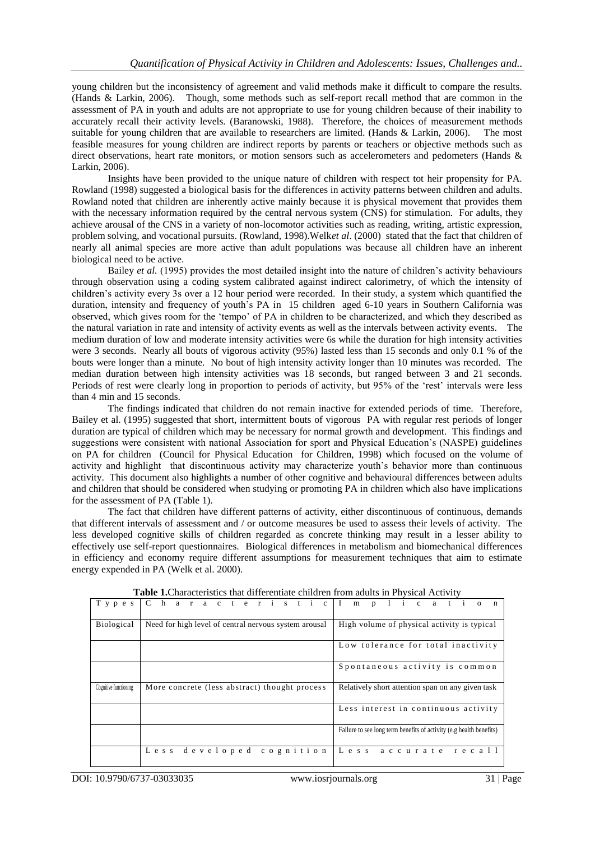young children but the inconsistency of agreement and valid methods make it difficult to compare the results. (Hands & Larkin, 2006). Though, some methods such as self-report recall method that are common in the assessment of PA in youth and adults are not appropriate to use for young children because of their inability to accurately recall their activity levels. (Baranowski, 1988). Therefore, the choices of measurement methods suitable for young children that are available to researchers are limited. (Hands & Larkin, 2006). The most feasible measures for young children are indirect reports by parents or teachers or objective methods such as direct observations, heart rate monitors, or motion sensors such as accelerometers and pedometers (Hands & Larkin, 2006).

Insights have been provided to the unique nature of children with respect tot heir propensity for PA. Rowland (1998) suggested a biological basis for the differences in activity patterns between children and adults. Rowland noted that children are inherently active mainly because it is physical movement that provides them with the necessary information required by the central nervous system (CNS) for stimulation. For adults, they achieve arousal of the CNS in a variety of non-locomotor activities such as reading, writing, artistic expression, problem solving, and vocational pursuits. (Rowland, 1998).Welk*et al*. (2000) stated that the fact that children of nearly all animal species are more active than adult populations was because all children have an inherent biological need to be active.

Bailey *et al.* (1995) provides the most detailed insight into the nature of children's activity behaviours through observation using a coding system calibrated against indirect calorimetry, of which the intensity of children's activity every 3s over a 12 hour period were recorded. In their study, a system which quantified the duration, intensity and frequency of youth's PA in 15 children aged 6-10 years in Southern California was observed, which gives room for the 'tempo' of PA in children to be characterized, and which they described as the natural variation in rate and intensity of activity events as well as the intervals between activity events. The medium duration of low and moderate intensity activities were 6s while the duration for high intensity activities were 3 seconds. Nearly all bouts of vigorous activity (95%) lasted less than 15 seconds and only 0.1 % of the bouts were longer than a minute. No bout of high intensity activity longer than 10 minutes was recorded. The median duration between high intensity activities was 18 seconds, but ranged between 3 and 21 seconds. Periods of rest were clearly long in proportion to periods of activity, but 95% of the 'rest' intervals were less than 4 min and 15 seconds.

The findings indicated that children do not remain inactive for extended periods of time. Therefore, Bailey et al. (1995) suggested that short, intermittent bouts of vigorous PA with regular rest periods of longer duration are typical of children which may be necessary for normal growth and development. This findings and suggestions were consistent with national Association for sport and Physical Education's (NASPE) guidelines on PA for children (Council for Physical Education for Children, 1998) which focused on the volume of activity and highlight that discontinuous activity may characterize youth's behavior more than continuous activity. This document also highlights a number of other cognitive and behavioural differences between adults and children that should be considered when studying or promoting PA in children which also have implications for the assessment of PA (Table 1).

The fact that children have different patterns of activity, either discontinuous of continuous, demands that different intervals of assessment and / or outcome measures be used to assess their levels of activity. The less developed cognitive skills of children regarded as concrete thinking may result in a lesser ability to effectively use self-report questionnaires. Biological differences in metabolism and biomechanical differences in efficiency and economy require different assumptions for measurement techniques that aim to estimate energy expended in PA (Welk et al. 2000).

| T y p e s             | Characteristic Implicatio                             |                                                                     |
|-----------------------|-------------------------------------------------------|---------------------------------------------------------------------|
| <b>Biological</b>     | Need for high level of central nervous system arousal | High volume of physical activity is typical                         |
|                       |                                                       | Low tolerance for total inactivity                                  |
|                       |                                                       | Spontaneous activity is common                                      |
| Cognitive functioning | More concrete (less abstract) thought process         | Relatively short attention span on any given task                   |
|                       |                                                       | Less interest in continuous activity                                |
|                       |                                                       | Failure to see long term benefits of activity (e.g health benefits) |
|                       | Less developed cognition                              | Less accurate recall                                                |

**Table 1.**Characteristics that differentiate children from adults in Physical Activity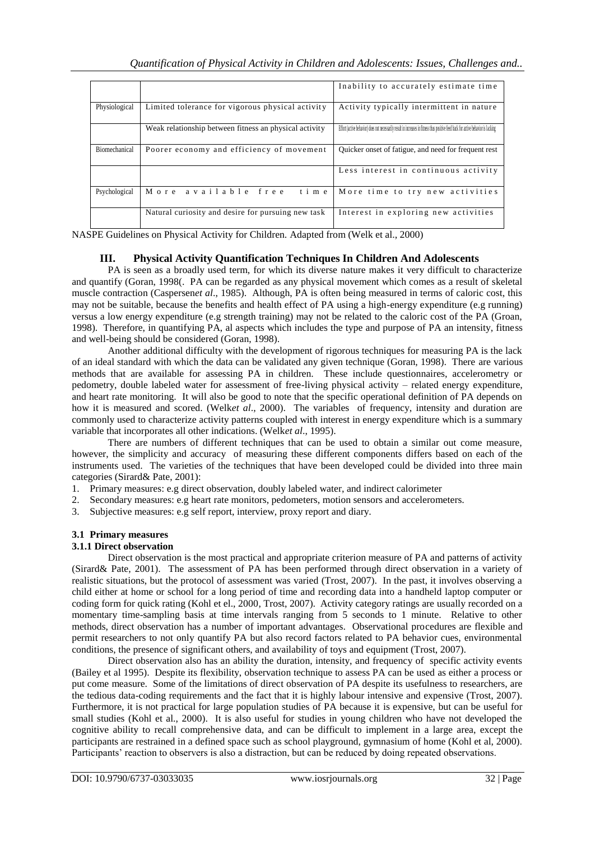|               |                                                        | Inability to accurately estimate time                                                                                               |
|---------------|--------------------------------------------------------|-------------------------------------------------------------------------------------------------------------------------------------|
| Physiological | Limited tolerance for vigorous physical activity       | Activity typically intermittent in nature                                                                                           |
|               | Weak relationship between fitness an physical activity | Effort (active behavior) does not necessarily result in increases in fitness thus positive feed back for active behavior is lacking |
| Biomechanical | Poorer economy and efficiency of movement              | Quicker onset of fatigue, and need for frequent rest                                                                                |
|               |                                                        | Less interest in continuous activity                                                                                                |
| Psychological | More available free<br>time                            | More time to try new activities                                                                                                     |
|               | Natural curiosity and desire for pursuing new task     | Interest in exploring new activities                                                                                                |

NASPE Guidelines on Physical Activity for Children. Adapted from (Welk et al., 2000)

## **III. Physical Activity Quantification Techniques In Children And Adolescents**

PA is seen as a broadly used term, for which its diverse nature makes it very difficult to characterize and quantify (Goran, 1998(. PA can be regarded as any physical movement which comes as a result of skeletal muscle contraction (Caspersen*et al*., 1985). Although, PA is often being measured in terms of caloric cost, this may not be suitable, because the benefits and health effect of PA using a high-energy expenditure (e.g running) versus a low energy expenditure (e.g strength training) may not be related to the caloric cost of the PA (Groan, 1998). Therefore, in quantifying PA, al aspects which includes the type and purpose of PA an intensity, fitness and well-being should be considered (Goran, 1998).

Another additional difficulty with the development of rigorous techniques for measuring PA is the lack of an ideal standard with which the data can be validated any given technique (Goran, 1998). There are various methods that are available for assessing PA in children. These include questionnaires, accelerometry or pedometry, double labeled water for assessment of free-living physical activity – related energy expenditure, and heart rate monitoring. It will also be good to note that the specific operational definition of PA depends on how it is measured and scored. (Welket al., 2000). The variables of frequency, intensity and duration are commonly used to characterize activity patterns coupled with interest in energy expenditure which is a summary variable that incorporates all other indications. (Welk*et al*., 1995).

There are numbers of different techniques that can be used to obtain a similar out come measure, however, the simplicity and accuracy of measuring these different components differs based on each of the instruments used. The varieties of the techniques that have been developed could be divided into three main categories (Sirard& Pate, 2001):

- 1. Primary measures: e.g direct observation, doubly labeled water, and indirect calorimeter
- 2. Secondary measures: e.g heart rate monitors, pedometers, motion sensors and accelerometers.
- 3. Subjective measures: e.g self report, interview, proxy report and diary.

## **3.1 Primary measures**

#### **3.1.1 Direct observation**

Direct observation is the most practical and appropriate criterion measure of PA and patterns of activity (Sirard& Pate, 2001). The assessment of PA has been performed through direct observation in a variety of realistic situations, but the protocol of assessment was varied (Trost, 2007). In the past, it involves observing a child either at home or school for a long period of time and recording data into a handheld laptop computer or coding form for quick rating (Kohl et el., 2000, Trost, 2007). Activity category ratings are usually recorded on a momentary time-sampling basis at time intervals ranging from 5 seconds to 1 minute. Relative to other methods, direct observation has a number of important advantages. Observational procedures are flexible and permit researchers to not only quantify PA but also record factors related to PA behavior cues, environmental conditions, the presence of significant others, and availability of toys and equipment (Trost, 2007).

Direct observation also has an ability the duration, intensity, and frequency of specific activity events (Bailey et al 1995). Despite its flexibility, observation technique to assess PA can be used as either a process or put come measure. Some of the limitations of direct observation of PA despite its usefulness to researchers, are the tedious data-coding requirements and the fact that it is highly labour intensive and expensive (Trost, 2007). Furthermore, it is not practical for large population studies of PA because it is expensive, but can be useful for small studies (Kohl et al., 2000). It is also useful for studies in young children who have not developed the cognitive ability to recall comprehensive data, and can be difficult to implement in a large area, except the participants are restrained in a defined space such as school playground, gymnasium of home (Kohl et al, 2000). Participants' reaction to observers is also a distraction, but can be reduced by doing repeated observations.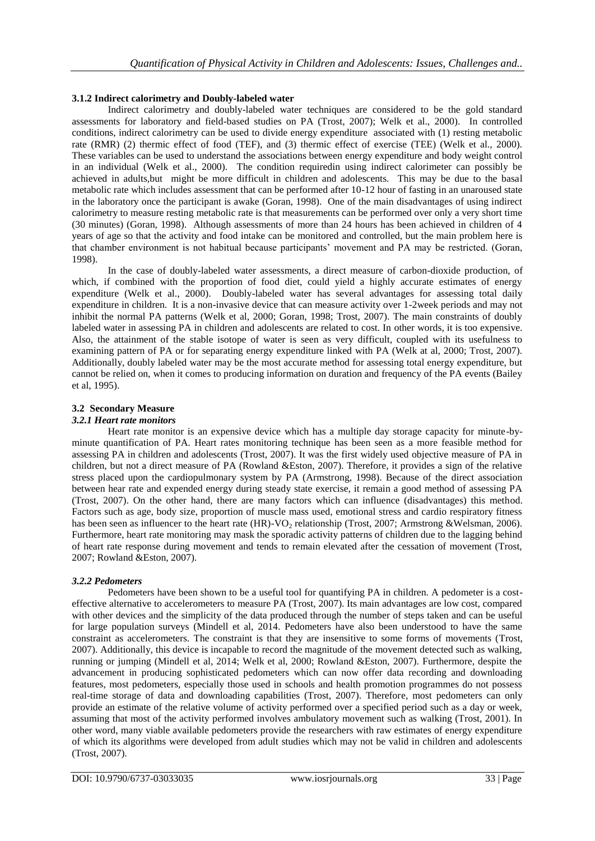## **3.1.2 Indirect calorimetry and Doubly-labeled water**

Indirect calorimetry and doubly-labeled water techniques are considered to be the gold standard assessments for laboratory and field-based studies on PA (Trost, 2007); Welk et al., 2000). In controlled conditions, indirect calorimetry can be used to divide energy expenditure associated with (1) resting metabolic rate (RMR) (2) thermic effect of food (TEF), and (3) thermic effect of exercise (TEE) (Welk et al., 2000). These variables can be used to understand the associations between energy expenditure and body weight control in an individual (Welk et al., 2000). The condition requiredin using indirect calorimeter can possibly be achieved in adults,but might be more difficult in children and adolescents. This may be due to the basal metabolic rate which includes assessment that can be performed after 10-12 hour of fasting in an unaroused state in the laboratory once the participant is awake (Goran, 1998). One of the main disadvantages of using indirect calorimetry to measure resting metabolic rate is that measurements can be performed over only a very short time (30 minutes) (Goran, 1998). Although assessments of more than 24 hours has been achieved in children of 4 years of age so that the activity and food intake can be monitored and controlled, but the main problem here is that chamber environment is not habitual because participants' movement and PA may be restricted. (Goran, 1998).

In the case of doubly-labeled water assessments, a direct measure of carbon-dioxide production, of which, if combined with the proportion of food diet, could yield a highly accurate estimates of energy expenditure (Welk et al., 2000). Doubly-labeled water has several advantages for assessing total daily expenditure in children. It is a non-invasive device that can measure activity over 1-2week periods and may not inhibit the normal PA patterns (Welk et al, 2000; Goran, 1998; Trost, 2007). The main constraints of doubly labeled water in assessing PA in children and adolescents are related to cost. In other words, it is too expensive. Also, the attainment of the stable isotope of water is seen as very difficult, coupled with its usefulness to examining pattern of PA or for separating energy expenditure linked with PA (Welk at al, 2000; Trost, 2007). Additionally, doubly labeled water may be the most accurate method for assessing total energy expenditure, but cannot be relied on, when it comes to producing information on duration and frequency of the PA events (Bailey et al, 1995).

### **3.2 Secondary Measure**

### *3.2.1 Heart rate monitors*

Heart rate monitor is an expensive device which has a multiple day storage capacity for minute-byminute quantification of PA. Heart rates monitoring technique has been seen as a more feasible method for assessing PA in children and adolescents (Trost, 2007). It was the first widely used objective measure of PA in children, but not a direct measure of PA (Rowland &Eston, 2007). Therefore, it provides a sign of the relative stress placed upon the cardiopulmonary system by PA (Armstrong, 1998). Because of the direct association between hear rate and expended energy during steady state exercise, it remain a good method of assessing PA (Trost, 2007). On the other hand, there are many factors which can influence (disadvantages) this method. Factors such as age, body size, proportion of muscle mass used, emotional stress and cardio respiratory fitness has been seen as influencer to the heart rate  $(HR)-VO<sub>2</sub>$  relationship (Trost, 2007; Armstrong &Welsman, 2006). Furthermore, heart rate monitoring may mask the sporadic activity patterns of children due to the lagging behind of heart rate response during movement and tends to remain elevated after the cessation of movement (Trost, 2007; Rowland &Eston, 2007).

## *3.2.2 Pedometers*

Pedometers have been shown to be a useful tool for quantifying PA in children. A pedometer is a costeffective alternative to accelerometers to measure PA (Trost, 2007). Its main advantages are low cost, compared with other devices and the simplicity of the data produced through the number of steps taken and can be useful for large population surveys (Mindell et al, 2014. Pedometers have also been understood to have the same constraint as accelerometers. The constraint is that they are insensitive to some forms of movements (Trost, 2007). Additionally, this device is incapable to record the magnitude of the movement detected such as walking, running or jumping (Mindell et al, 2014; Welk et al, 2000; Rowland &Eston, 2007). Furthermore, despite the advancement in producing sophisticated pedometers which can now offer data recording and downloading features, most pedometers, especially those used in schools and health promotion programmes do not possess real-time storage of data and downloading capabilities (Trost, 2007). Therefore, most pedometers can only provide an estimate of the relative volume of activity performed over a specified period such as a day or week, assuming that most of the activity performed involves ambulatory movement such as walking (Trost, 2001). In other word, many viable available pedometers provide the researchers with raw estimates of energy expenditure of which its algorithms were developed from adult studies which may not be valid in children and adolescents (Trost, 2007).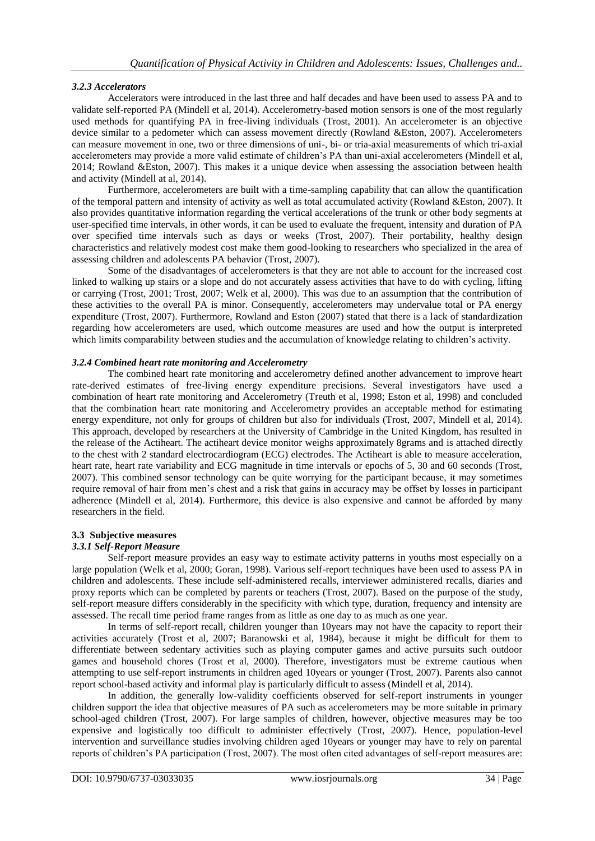## *3.2.3 Accelerators*

Accelerators were introduced in the last three and half decades and have been used to assess PA and to validate self-reported PA (Mindell et al, 2014). Accelerometry-based motion sensors is one of the most regularly used methods for quantifying PA in free-living individuals (Trost, 2001). An accelerometer is an objective device similar to a pedometer which can assess movement directly (Rowland &Eston, 2007). Accelerometers can measure movement in one, two or three dimensions of uni-, bi- or tria-axial measurements of which tri-axial accelerometers may provide a more valid estimate of children's PA than uni-axial accelerometers (Mindell et al, 2014; Rowland &Eston, 2007). This makes it a unique device when assessing the association between health and activity (Mindell at al, 2014).

Furthermore, accelerometers are built with a time-sampling capability that can allow the quantification of the temporal pattern and intensity of activity as well as total accumulated activity (Rowland &Eston, 2007). It also provides quantitative information regarding the vertical accelerations of the trunk or other body segments at user-specified time intervals, in other words, it can be used to evaluate the frequent, intensity and duration of PA over specified time intervals such as days or weeks (Trost, 2007). Their portability, healthy design characteristics and relatively modest cost make them good-looking to researchers who specialized in the area of assessing children and adolescents PA behavior (Trost, 2007).

Some of the disadvantages of accelerometers is that they are not able to account for the increased cost linked to walking up stairs or a slope and do not accurately assess activities that have to do with cycling, lifting or carrying (Trost, 2001; Trost, 2007; Welk et al, 2000). This was due to an assumption that the contribution of these activities to the overall PA is minor. Consequently, accelerometers may undervalue total or PA energy expenditure (Trost, 2007). Furthermore, Rowland and Eston (2007) stated that there is a lack of standardization regarding how accelerometers are used, which outcome measures are used and how the output is interpreted which limits comparability between studies and the accumulation of knowledge relating to children's activity.

## *3.2.4 Combined heart rate monitoring and Accelerometry*

The combined heart rate monitoring and accelerometry defined another advancement to improve heart rate-derived estimates of free-living energy expenditure precisions. Several investigators have used a combination of heart rate monitoring and Accelerometry (Treuth et al, 1998; Eston et al, 1998) and concluded that the combination heart rate monitoring and Accelerometry provides an acceptable method for estimating energy expenditure, not only for groups of children but also for individuals (Trost, 2007, Mindell et al, 2014). This approach, developed by researchers at the University of Cambridge in the United Kingdom, has resulted in the release of the Actiheart. The actiheart device monitor weighs approximately 8grams and is attached directly to the chest with 2 standard electrocardiogram (ECG) electrodes. The Actiheart is able to measure acceleration, heart rate, heart rate variability and ECG magnitude in time intervals or epochs of 5, 30 and 60 seconds (Trost, 2007). This combined sensor technology can be quite worrying for the participant because, it may sometimes require removal of hair from men's chest and a risk that gains in accuracy may be offset by losses in participant adherence (Mindell et al, 2014). Furthermore, this device is also expensive and cannot be afforded by many researchers in the field.

## **3.3 Subjective measures**

## *3.3.1 Self-Report Measure*

Self-report measure provides an easy way to estimate activity patterns in youths most especially on a large population (Welk et al, 2000; Goran, 1998). Various self-report techniques have been used to assess PA in children and adolescents. These include self-administered recalls, interviewer administered recalls, diaries and proxy reports which can be completed by parents or teachers (Trost, 2007). Based on the purpose of the study, self-report measure differs considerably in the specificity with which type, duration, frequency and intensity are assessed. The recall time period frame ranges from as little as one day to as much as one year.

In terms of self-report recall, children younger than 10years may not have the capacity to report their activities accurately (Trost et al, 2007; Baranowski et al, 1984), because it might be difficult for them to differentiate between sedentary activities such as playing computer games and active pursuits such outdoor games and household chores (Trost et al, 2000). Therefore, investigators must be extreme cautious when attempting to use self-report instruments in children aged 10years or younger (Trost, 2007). Parents also cannot report school-based activity and informal play is particularly difficult to assess (Mindell et al, 2014).

In addition, the generally low-validity coefficients observed for self-report instruments in younger children support the idea that objective measures of PA such as accelerometers may be more suitable in primary school-aged children (Trost, 2007). For large samples of children, however, objective measures may be too expensive and logistically too difficult to administer effectively (Trost, 2007). Hence, population-level intervention and surveillance studies involving children aged 10years or younger may have to rely on parental reports of children's PA participation (Trost, 2007). The most often cited advantages of self-report measures are: